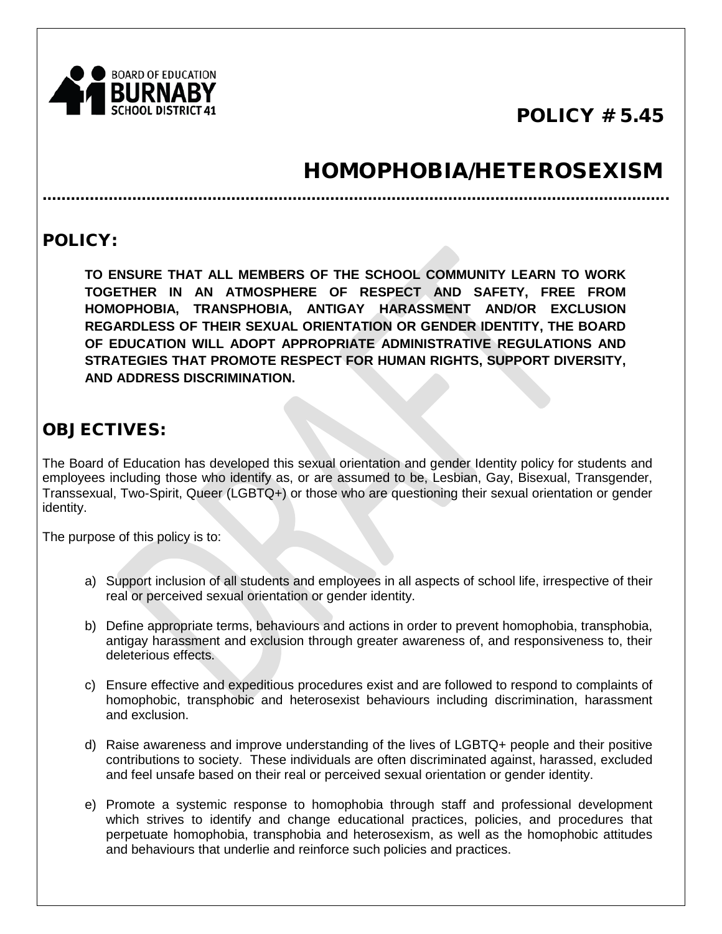

## POLICY # 5.45

# HOMOPHOBIA/HETEROSEXISM

POLICY:

**TO ENSURE THAT ALL MEMBERS OF THE SCHOOL COMMUNITY LEARN TO WORK TOGETHER IN AN ATMOSPHERE OF RESPECT AND SAFETY, FREE FROM HOMOPHOBIA, TRANSPHOBIA, ANTIGAY HARASSMENT AND/OR EXCLUSION REGARDLESS OF THEIR SEXUAL ORIENTATION OR GENDER IDENTITY, THE BOARD OF EDUCATION WILL ADOPT APPROPRIATE ADMINISTRATIVE REGULATIONS AND STRATEGIES THAT PROMOTE RESPECT FOR HUMAN RIGHTS, SUPPORT DIVERSITY, AND ADDRESS DISCRIMINATION.**

…………………………………………………………………………………………………………………….

### OBJECTIVES:

The Board of Education has developed this sexual orientation and gender Identity policy for students and employees including those who identify as, or are assumed to be, Lesbian, Gay, Bisexual, Transgender, Transsexual, Two-Spirit, Queer (LGBTQ+) or those who are questioning their sexual orientation or gender identity.

The purpose of this policy is to:

- a) Support inclusion of all students and employees in all aspects of school life, irrespective of their real or perceived sexual orientation or gender identity.
- b) Define appropriate terms, behaviours and actions in order to prevent homophobia, transphobia, antigay harassment and exclusion through greater awareness of, and responsiveness to, their deleterious effects.
- c) Ensure effective and expeditious procedures exist and are followed to respond to complaints of homophobic, transphobic and heterosexist behaviours including discrimination, harassment and exclusion.
- d) Raise awareness and improve understanding of the lives of LGBTQ+ people and their positive contributions to society. These individuals are often discriminated against, harassed, excluded and feel unsafe based on their real or perceived sexual orientation or gender identity.
- e) Promote a systemic response to homophobia through staff and professional development which strives to identify and change educational practices, policies, and procedures that perpetuate homophobia, transphobia and heterosexism, as well as the homophobic attitudes and behaviours that underlie and reinforce such policies and practices.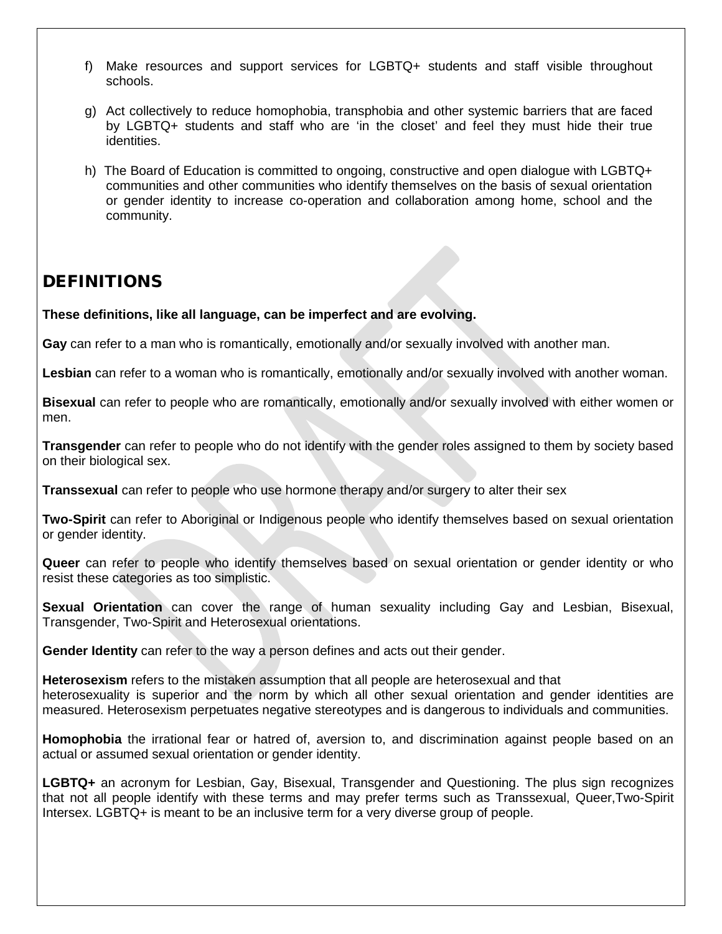- f) Make resources and support services for LGBTQ+ students and staff visible throughout schools.
- g) Act collectively to reduce homophobia, transphobia and other systemic barriers that are faced by LGBTQ+ students and staff who are 'in the closet' and feel they must hide their true identities.
- h) The Board of Education is committed to ongoing, constructive and open dialogue with LGBTQ+ communities and other communities who identify themselves on the basis of sexual orientation or gender identity to increase co-operation and collaboration among home, school and the community.

### DEFINITIONS

**These definitions, like all language, can be imperfect and are evolving.**

**Gay** can refer to a man who is romantically, emotionally and/or sexually involved with another man.

**Lesbian** can refer to a woman who is romantically, emotionally and/or sexually involved with another woman.

**Bisexual** can refer to people who are romantically, emotionally and/or sexually involved with either women or men.

**Transgender** can refer to people who do not identify with the gender roles assigned to them by society based on their biological sex.

**Transsexual** can refer to people who use hormone therapy and/or surgery to alter their sex

**Two-Spirit** can refer to Aboriginal or Indigenous people who identify themselves based on sexual orientation or gender identity.

**Queer** can refer to people who identify themselves based on sexual orientation or gender identity or who resist these categories as too simplistic.

**Sexual Orientation** can cover the range of human sexuality including Gay and Lesbian, Bisexual, Transgender, Two-Spirit and Heterosexual orientations.

**Gender Identity** can refer to the way a person defines and acts out their gender.

**Heterosexism** refers to the mistaken assumption that all people are heterosexual and that heterosexuality is superior and the norm by which all other sexual orientation and gender identities are measured. Heterosexism perpetuates negative stereotypes and is dangerous to individuals and communities.

**Homophobia** the irrational fear or hatred of, aversion to, and discrimination against people based on an actual or assumed sexual orientation or gender identity.

**LGBTQ+** an acronym for Lesbian, Gay, Bisexual, Transgender and Questioning. The plus sign recognizes that not all people identify with these terms and may prefer terms such as Transsexual, Queer,Two-Spirit Intersex. LGBTQ+ is meant to be an inclusive term for a very diverse group of people.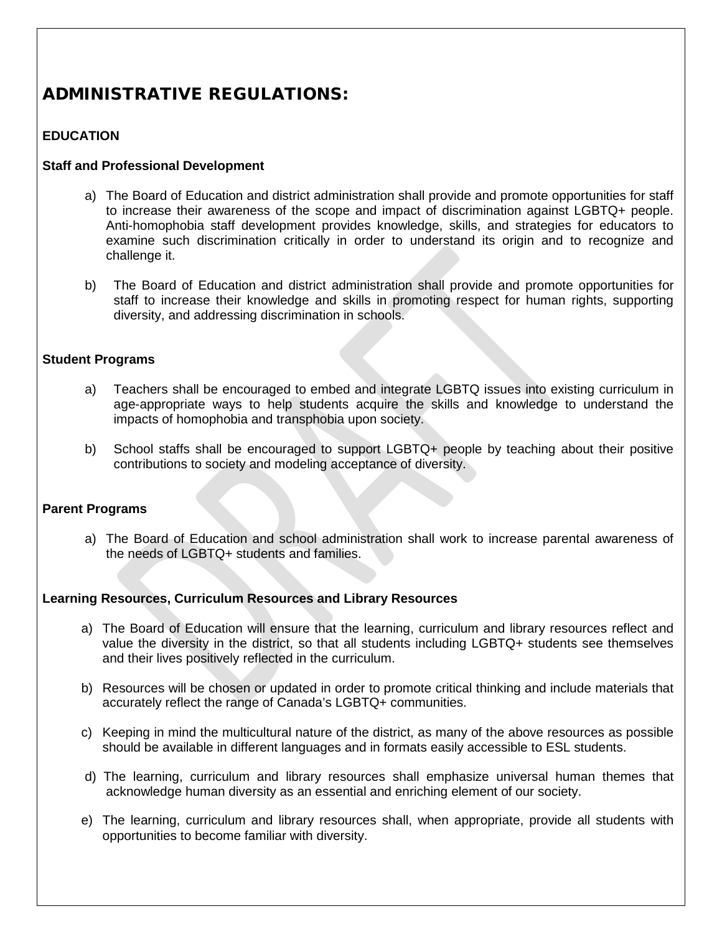### ADMINISTRATIVE REGULATIONS:

#### **EDUCATION**

#### **Staff and Professional Development**

- a) The Board of Education and district administration shall provide and promote opportunities for staff to increase their awareness of the scope and impact of discrimination against LGBTQ+ people. Anti-homophobia staff development provides knowledge, skills, and strategies for educators to examine such discrimination critically in order to understand its origin and to recognize and challenge it.
- b) The Board of Education and district administration shall provide and promote opportunities for staff to increase their knowledge and skills in promoting respect for human rights, supporting diversity, and addressing discrimination in schools.

#### **Student Programs**

- a) Teachers shall be encouraged to embed and integrate LGBTQ issues into existing curriculum in age-appropriate ways to help students acquire the skills and knowledge to understand the impacts of homophobia and transphobia upon society.
- b) School staffs shall be encouraged to support LGBTQ+ people by teaching about their positive contributions to society and modeling acceptance of diversity.

#### **Parent Programs**

a) The Board of Education and school administration shall work to increase parental awareness of the needs of LGBTQ+ students and families.

#### **Learning Resources, Curriculum Resources and Library Resources**

- a) The Board of Education will ensure that the learning, curriculum and library resources reflect and value the diversity in the district, so that all students including LGBTQ+ students see themselves and their lives positively reflected in the curriculum.
- b) Resources will be chosen or updated in order to promote critical thinking and include materials that accurately reflect the range of Canada's LGBTQ+ communities.
- c) Keeping in mind the multicultural nature of the district, as many of the above resources as possible should be available in different languages and in formats easily accessible to ESL students.
- d) The learning, curriculum and library resources shall emphasize universal human themes that acknowledge human diversity as an essential and enriching element of our society.
- e) The learning, curriculum and library resources shall, when appropriate, provide all students with opportunities to become familiar with diversity.